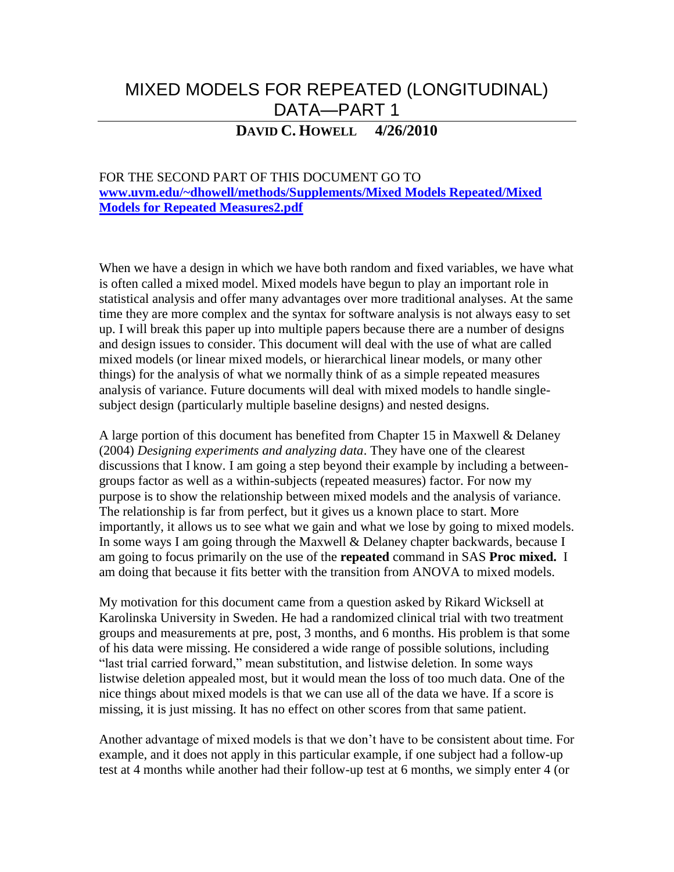# MIXED MODELS FOR REPEATED (LONGITUDINAL) DATA—PART 1

# **DAVID C. HOWELL 4/26/2010**

FOR THE SECOND PART OF THIS DOCUMENT GO TO **[www.uvm.edu/~dhowell/methods/Supplements/Mixed Models Repeated/Mixed](http://www.uvm.edu/~dhowell/methods/Supplements/Mixed%20Models%20Repeated/Mixed%20Models%20for%20Repeated%20Measures2.pdf)  [Models for Repeated Measures2.pdf](http://www.uvm.edu/~dhowell/methods/Supplements/Mixed%20Models%20Repeated/Mixed%20Models%20for%20Repeated%20Measures2.pdf)**

When we have a design in which we have both random and fixed variables, we have what is often called a mixed model. Mixed models have begun to play an important role in statistical analysis and offer many advantages over more traditional analyses. At the same time they are more complex and the syntax for software analysis is not always easy to set up. I will break this paper up into multiple papers because there are a number of designs and design issues to consider. This document will deal with the use of what are called mixed models (or linear mixed models, or hierarchical linear models, or many other things) for the analysis of what we normally think of as a simple repeated measures analysis of variance. Future documents will deal with mixed models to handle singlesubject design (particularly multiple baseline designs) and nested designs.

A large portion of this document has benefited from Chapter 15 in Maxwell & Delaney (2004) *Designing experiments and analyzing data*. They have one of the clearest discussions that I know. I am going a step beyond their example by including a betweengroups factor as well as a within-subjects (repeated measures) factor. For now my purpose is to show the relationship between mixed models and the analysis of variance. The relationship is far from perfect, but it gives us a known place to start. More importantly, it allows us to see what we gain and what we lose by going to mixed models. In some ways I am going through the Maxwell & Delaney chapter backwards, because I am going to focus primarily on the use of the **repeated** command in SAS **Proc mixed.** I am doing that because it fits better with the transition from ANOVA to mixed models.

My motivation for this document came from a question asked by Rikard Wicksell at Karolinska University in Sweden. He had a randomized clinical trial with two treatment groups and measurements at pre, post, 3 months, and 6 months. His problem is that some of his data were missing. He considered a wide range of possible solutions, including "last trial carried forward," mean substitution, and listwise deletion. In some ways listwise deletion appealed most, but it would mean the loss of too much data. One of the nice things about mixed models is that we can use all of the data we have. If a score is missing, it is just missing. It has no effect on other scores from that same patient.

Another advantage of mixed models is that we don't have to be consistent about time. For example, and it does not apply in this particular example, if one subject had a follow-up test at 4 months while another had their follow-up test at 6 months, we simply enter 4 (or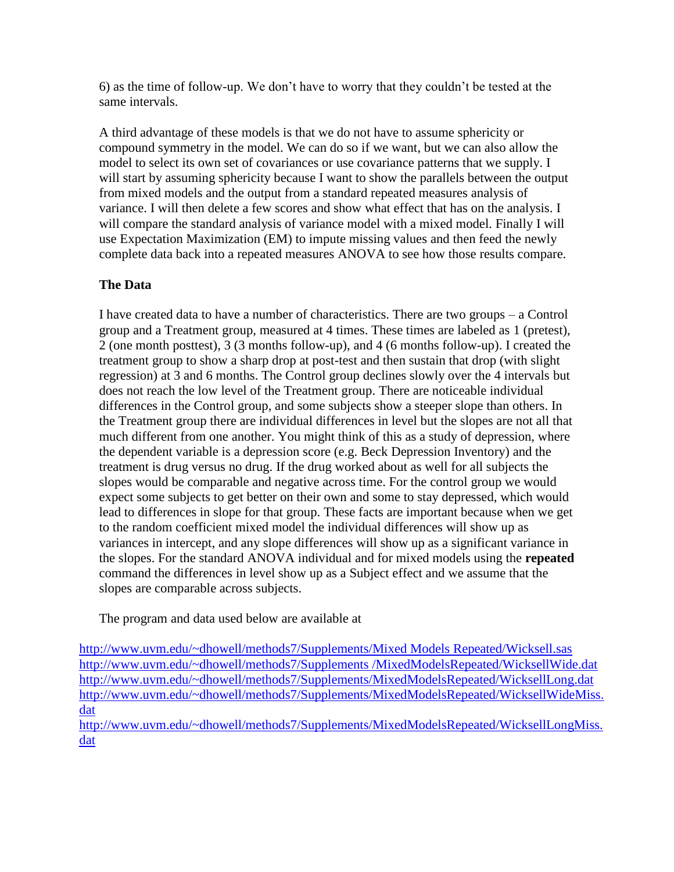6) as the time of follow-up. We don't have to worry that they couldn't be tested at the same intervals.

A third advantage of these models is that we do not have to assume sphericity or compound symmetry in the model. We can do so if we want, but we can also allow the model to select its own set of covariances or use covariance patterns that we supply. I will start by assuming sphericity because I want to show the parallels between the output from mixed models and the output from a standard repeated measures analysis of variance. I will then delete a few scores and show what effect that has on the analysis. I will compare the standard analysis of variance model with a mixed model. Finally I will use Expectation Maximization (EM) to impute missing values and then feed the newly complete data back into a repeated measures ANOVA to see how those results compare.

# **The Data**

I have created data to have a number of characteristics. There are two groups – a Control group and a Treatment group, measured at 4 times. These times are labeled as 1 (pretest), 2 (one month posttest), 3 (3 months follow-up), and 4 (6 months follow-up). I created the treatment group to show a sharp drop at post-test and then sustain that drop (with slight regression) at 3 and 6 months. The Control group declines slowly over the 4 intervals but does not reach the low level of the Treatment group. There are noticeable individual differences in the Control group, and some subjects show a steeper slope than others. In the Treatment group there are individual differences in level but the slopes are not all that much different from one another. You might think of this as a study of depression, where the dependent variable is a depression score (e.g. Beck Depression Inventory) and the treatment is drug versus no drug. If the drug worked about as well for all subjects the slopes would be comparable and negative across time. For the control group we would expect some subjects to get better on their own and some to stay depressed, which would lead to differences in slope for that group. These facts are important because when we get to the random coefficient mixed model the individual differences will show up as variances in intercept, and any slope differences will show up as a significant variance in the slopes. For the standard ANOVA individual and for mixed models using the **repeated** command the differences in level show up as a Subject effect and we assume that the slopes are comparable across subjects.

The program and data used below are available at

[http://www.uvm.edu/~dhowell/methods7/Supplements/Mixed Models Repeated/Wicksell.sas](http://www.uvm.edu/~dhowell/methods7/Supplements/Mixed%20Models%20Repeated/Wicksell.sas) [http://www.uvm.edu/~dhowell/methods7/Supplements /MixedModelsRepeated/WicksellWide.dat](http://www.uvm.edu/~dhowell/methods7/Supplements%20/MixedModelsRepeated/WicksellWide.dat) <http://www.uvm.edu/~dhowell/methods7/Supplements/MixedModelsRepeated/WicksellLong.dat> [http://www.uvm.edu/~dhowell/methods7/Supplements/MixedModelsRepeated/WicksellWideMiss.](http://www.uvm.edu/~dhowell/methods7/Supplements/MixedModelsRepeated/WicksellWideMiss.dat) [dat](http://www.uvm.edu/~dhowell/methods7/Supplements/MixedModelsRepeated/WicksellWideMiss.dat)

[http://www.uvm.edu/~dhowell/methods7/Supplements/MixedModelsRepeated/WicksellLongMiss.](http://www.uvm.edu/~dhowell/methods7/Supplements/MixedModelsRepeated/WicksellLongMiss.dat) [dat](http://www.uvm.edu/~dhowell/methods7/Supplements/MixedModelsRepeated/WicksellLongMiss.dat)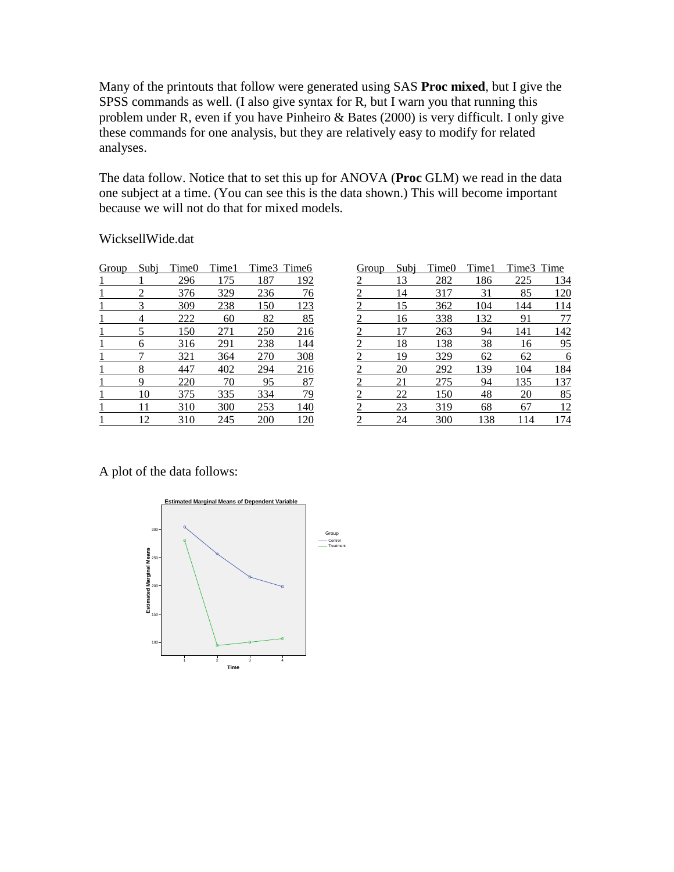Many of the printouts that follow were generated using SAS **Proc mixed**, but I give the SPSS commands as well. (I also give syntax for R, but I warn you that running this problem under R, even if you have Pinheiro & Bates (2000) is very difficult. I only give these commands for one analysis, but they are relatively easy to modify for related analyses.

The data follow. Notice that to set this up for ANOVA (**Proc** GLM) we read in the data one subject at a time. (You can see this is the data shown.) This will become important because we will not do that for mixed models.

### WicksellWide.dat

| <u>Group</u> | Subi | Time <sub>0</sub> | Time1 |             | Time3 Time6 |
|--------------|------|-------------------|-------|-------------|-------------|
|              |      | 296               | 175   | 187         | 192         |
|              |      | 376               | 329   | 236         | 76          |
|              |      | 309               | 238   | <u> 150</u> | 123         |
|              |      | 222               | 60    | 82          | 85          |
|              | 5    | 150               | 271   | 250         | 216         |
|              | 6    | 316               | 291   | 238         | 144         |
|              |      | 321               | 364   | 270         | 308         |
|              | 8    | 447               | 402   | 294         | 216         |
|              | q    | 220               | 70    | 95          | 87          |
|              | 10   | 375               | 335   | 334         | 79          |
|              | 11   | 310               | 300   | 253         | 140         |
|              | 12   | 310               | 245   | 200         | 120         |

| Group          | Subj | Time0 | Time1 | Time3 Time |           |
|----------------|------|-------|-------|------------|-----------|
| $\overline{2}$ | 13   | 282   | 186   | 225        | 134       |
| $\overline{2}$ | 14   | 317   | 31    | 85         | 120       |
| $\overline{2}$ | 15   | 362   | 104   | 144        | 114       |
| $\overline{2}$ | 16   | 338   | 132   | 91         | 77        |
| $\overline{2}$ | 17   | 263   | 94    | 141        | 142       |
| $\overline{2}$ | 18   | 138   | 38    | 16         | <u>95</u> |
| $\overline{2}$ | 19   | 329   | 62    | 62         | 6         |
| $\overline{2}$ | 20   | 292   | 139   | 104        | 184       |
| 2              | 21   | 275   | 94    | 135        | 137       |
| $\overline{c}$ | 22   | 150   | 48    | 20         | 85        |
| 2              | 23   | 319   | 68    | 67         | 12        |
| 2              | 24   | 300   | 138   | 14         | .74       |

A plot of the data follows:

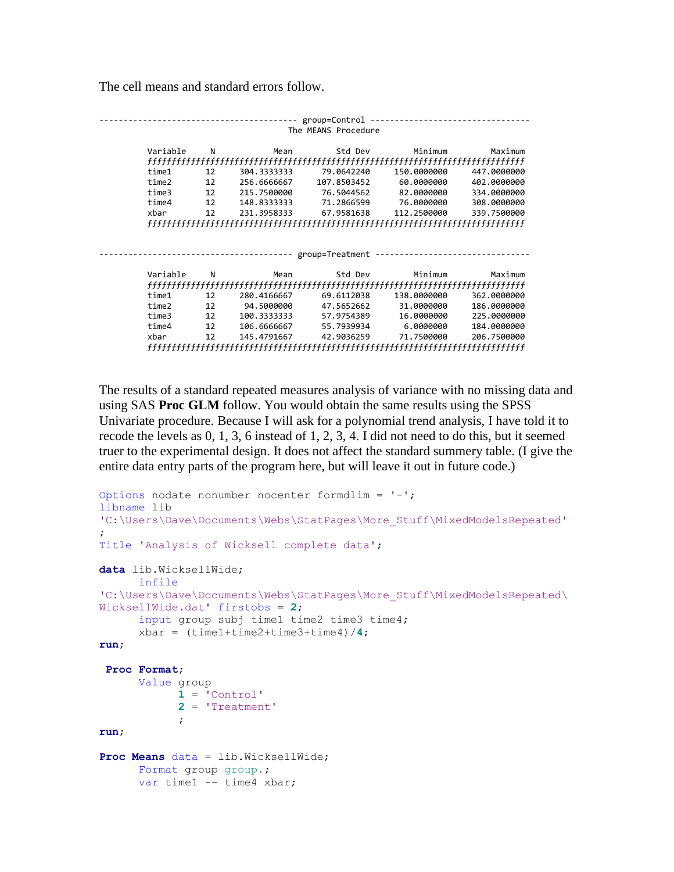The cell means and standard errors follow.

|          |    |                    | group=Control       |             |             |
|----------|----|--------------------|---------------------|-------------|-------------|
|          |    |                    | The MEANS Procedure |             |             |
|          |    |                    |                     |             |             |
| Variable | N  | Mean               | Std Dev             | Minimum     | Maximum     |
|          |    |                    |                     |             |             |
| time1    | 12 | 304.3333333        | 79.0642240          | 150.0000000 | 447.0000000 |
| time2    | 12 | 256.6666667        | 107.8503452         | 60.0000000  | 402.0000000 |
| time3    | 12 | 215.7500000        | 76.5044562          | 82.0000000  | 334,0000000 |
| time4    | 12 | 148.8333333        | 71.2866599          | 76.0000000  | 308,0000000 |
| xbar     | 12 | 231.3958333        | 67.9581638          | 112.2500000 | 339.7500000 |
|          |    |                    |                     |             |             |
|          |    |                    |                     |             |             |
|          |    |                    |                     |             |             |
|          |    | ------------------ | group=Treatment     |             |             |
|          |    |                    |                     |             |             |
| Variable | N  | Mean               | Std Dev             | Minimum     | Maximum     |
|          |    |                    |                     |             |             |
| time1    | 12 | 280.4166667        | 69.6112038          | 138,0000000 | 362.0000000 |
| time2    | 12 | 94.5000000         | 47.5652662          | 31.0000000  | 186.0000000 |
| time3    | 12 | 100.3333333        | 57.9754389          | 16.0000000  | 225.0000000 |
| time4    | 12 | 106.6666667        | 55.7939934          | 6.0000000   | 184,0000000 |
| xbar     | 12 | 145.4791667        | 42.9036259          | 71.7500000  | 206.7500000 |
|          |    |                    |                     |             |             |

The results of a standard repeated measures analysis of variance with no missing data and using SAS **Proc GLM** follow. You would obtain the same results using the SPSS Univariate procedure. Because I will ask for a polynomial trend analysis, I have told it to recode the levels as 0, 1, 3, 6 instead of 1, 2, 3, 4. I did not need to do this, but it seemed truer to the experimental design. It does not affect the standard summery table. (I give the entire data entry parts of the program here, but will leave it out in future code.)

```
Options nodate nonumber nocenter formdlim = '-';
libname lib 
'C:\Users\Dave\Documents\Webs\StatPages\More_Stuff\MixedModelsRepeated'
;
Title 'Analysis of Wicksell complete data';
data lib.WicksellWide;
     infile
'C:\Users\Dave\Documents\Webs\StatPages\More_Stuff\MixedModelsRepeated\
WicksellWide.dat' firstobs = 2;
      input group subj time1 time2 time3 time4;
      xbar = (time1+time2+time3+time4)/4;
run;
 Proc Format;
     Value group
           1 = 'Control'
            2 = 'Treatment'
            ;
run;
Proc Means data = lib.WicksellWide;
    Format group group.;
     var time1 -- time4 xbar;
```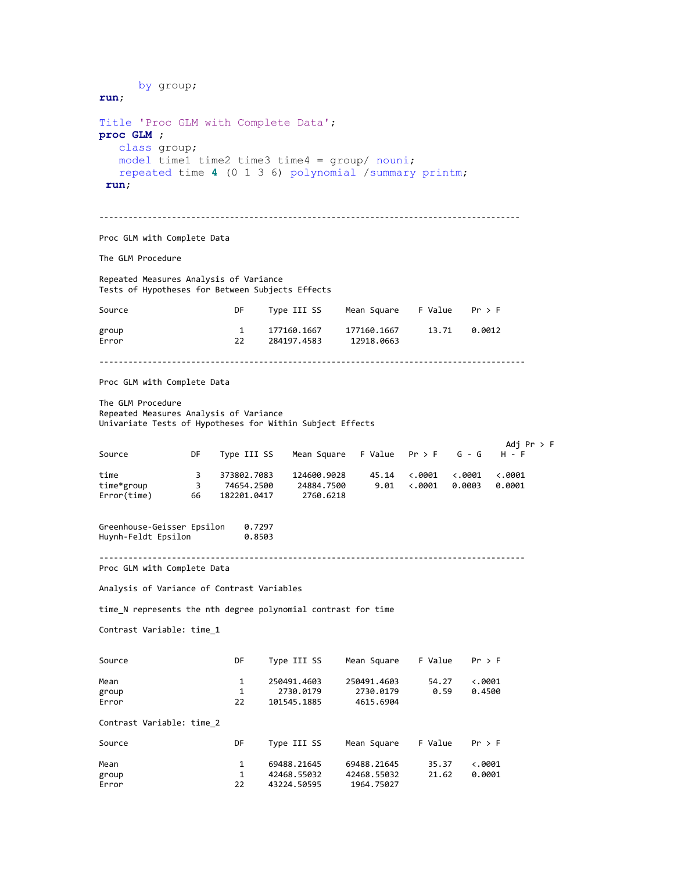by group; **run**; Title 'Proc GLM with Complete Data'; **proc GLM** ; class group; model time1 time2 time3 time4 = group/ nouni; repeated time **4** (0 1 3 6) polynomial /summary printm; **run**; --------------------------------------------------------------------------------------- Proc GLM with Complete Data The GLM Procedure Repeated Measures Analysis of Variance Tests of Hypotheses for Between Subjects Effects Source **Source DF** Type III SS Mean Square F Value Pr > F group 1 177160.1667 177160.1667 13.71 0.0012 Error 22 284197.4583 12918.0663 ---------------------------------------------------------------------------------------- Proc GLM with Complete Data The GLM Procedure Repeated Measures Analysis of Variance Univariate Tests of Hypotheses for Within Subject Effects Adj Pr > F Mean Square F Value  $Pr > F$ time 3 373802.7083 124600.9028 45.14 <.0001 <.0001 <.0001<br>time\*group 3 74654.2500 24884.7500 9.01 <.0001 0.0003 0.0001 time\*group 3 74654.2500 24884.7500 9.01 <.0001 0.0003 0.0001 Error(time) 66 Greenhouse-Geisser Epsilon 0.7297 Huynh-Feldt Epsilon ---------------------------------------------------------------------------------------- Proc GLM with Complete Data Analysis of Variance of Contrast Variables time\_N represents the nth degree polynomial contrast for time Contrast Variable: time\_1 Source Source DF Type III SS Mean Square F Value Pr > F Mean 1 250491.4603 250491.4603 54.27 <.0001<br>group 1 2730.0179 2730.0179 0.59 0.4500 1 2730.0179 2730.0179<br>22 101545.1885 4615.6904 Error 22 101545.1885 Contrast Variable: time\_2 Source **Source DF** Type III SS Mean Square F Value Pr > F Mean 1 69488.21645 69488.21645 35.37 <.0001<br>group 1 42468.55032 42468.55032 21.62 0.0001 group 1 42468.55032 42468.55032<br>Error 22 43224.50595 1964.75027 A3224.50595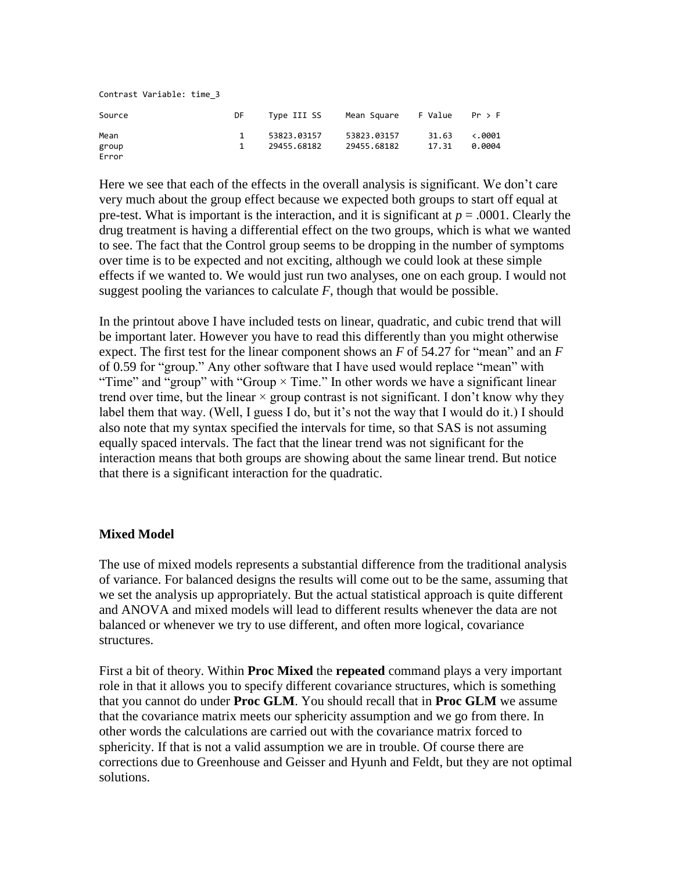| Contrast Variable: time 3 |    |             |             |         |                 |
|---------------------------|----|-------------|-------------|---------|-----------------|
| Source                    | DF | Type III SS | Mean Square | F Value | Pr > F          |
| Mean                      | 1  | 53823.03157 | 53823.03157 | 31.63   | $\langle .0001$ |
| group<br>Error            | 1  | 29455.68182 | 29455.68182 | 17.31   | 0.0004          |

Here we see that each of the effects in the overall analysis is significant. We don't care very much about the group effect because we expected both groups to start off equal at pre-test. What is important is the interaction, and it is significant at  $p = .0001$ . Clearly the drug treatment is having a differential effect on the two groups, which is what we wanted to see. The fact that the Control group seems to be dropping in the number of symptoms over time is to be expected and not exciting, although we could look at these simple effects if we wanted to. We would just run two analyses, one on each group. I would not suggest pooling the variances to calculate  $F$ , though that would be possible.

In the printout above I have included tests on linear, quadratic, and cubic trend that will be important later. However you have to read this differently than you might otherwise expect. The first test for the linear component shows an *F* of 54.27 for "mean" and an *F* of 0.59 for "group." Any other software that I have used would replace "mean" with "Time" and "group" with "Group  $\times$  Time." In other words we have a significant linear trend over time, but the linear  $\times$  group contrast is not significant. I don't know why they label them that way. (Well, I guess I do, but it's not the way that I would do it.) I should also note that my syntax specified the intervals for time, so that SAS is not assuming equally spaced intervals. The fact that the linear trend was not significant for the interaction means that both groups are showing about the same linear trend. But notice that there is a significant interaction for the quadratic.

### **Mixed Model**

The use of mixed models represents a substantial difference from the traditional analysis of variance. For balanced designs the results will come out to be the same, assuming that we set the analysis up appropriately. But the actual statistical approach is quite different and ANOVA and mixed models will lead to different results whenever the data are not balanced or whenever we try to use different, and often more logical, covariance structures.

First a bit of theory. Within **Proc Mixed** the **repeated** command plays a very important role in that it allows you to specify different covariance structures, which is something that you cannot do under **Proc GLM**. You should recall that in **Proc GLM** we assume that the covariance matrix meets our sphericity assumption and we go from there. In other words the calculations are carried out with the covariance matrix forced to sphericity. If that is not a valid assumption we are in trouble. Of course there are corrections due to Greenhouse and Geisser and Hyunh and Feldt, but they are not optimal solutions.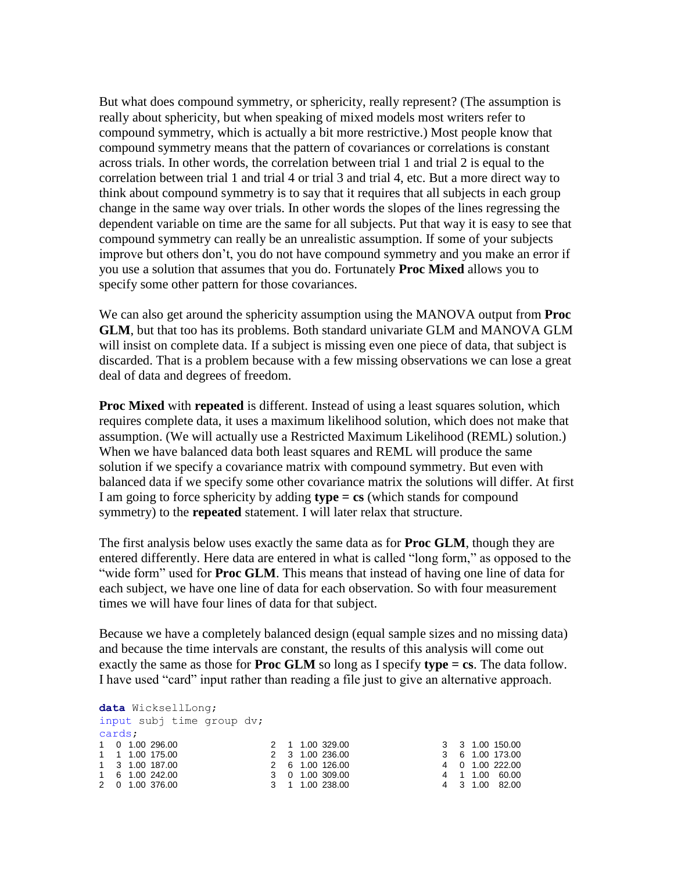But what does compound symmetry, or sphericity, really represent? (The assumption is really about sphericity, but when speaking of mixed models most writers refer to compound symmetry, which is actually a bit more restrictive.) Most people know that compound symmetry means that the pattern of covariances or correlations is constant across trials. In other words, the correlation between trial 1 and trial 2 is equal to the correlation between trial 1 and trial 4 or trial 3 and trial 4, etc. But a more direct way to think about compound symmetry is to say that it requires that all subjects in each group change in the same way over trials. In other words the slopes of the lines regressing the dependent variable on time are the same for all subjects. Put that way it is easy to see that compound symmetry can really be an unrealistic assumption. If some of your subjects improve but others don't, you do not have compound symmetry and you make an error if you use a solution that assumes that you do. Fortunately **Proc Mixed** allows you to specify some other pattern for those covariances.

We can also get around the sphericity assumption using the MANOVA output from **Proc GLM**, but that too has its problems. Both standard univariate GLM and MANOVA GLM will insist on complete data. If a subject is missing even one piece of data, that subject is discarded. That is a problem because with a few missing observations we can lose a great deal of data and degrees of freedom.

**Proc Mixed** with **repeated** is different. Instead of using a least squares solution, which requires complete data, it uses a maximum likelihood solution, which does not make that assumption. (We will actually use a Restricted Maximum Likelihood (REML) solution.) When we have balanced data both least squares and REML will produce the same solution if we specify a covariance matrix with compound symmetry. But even with balanced data if we specify some other covariance matrix the solutions will differ. At first I am going to force sphericity by adding **type = cs** (which stands for compound symmetry) to the **repeated** statement. I will later relax that structure.

The first analysis below uses exactly the same data as for **Proc GLM**, though they are entered differently. Here data are entered in what is called "long form," as opposed to the "wide form" used for **Proc GLM**. This means that instead of having one line of data for each subject, we have one line of data for each observation. So with four measurement times we will have four lines of data for that subject.

Because we have a completely balanced design (equal sample sizes and no missing data) and because the time intervals are constant, the results of this analysis will come out exactly the same as those for **Proc GLM** so long as I specify **type = cs**. The data follow. I have used "card" input rather than reading a file just to give an alternative approach.

```
data WicksellLong;
input subj time group dv;
cards;
1 0 1.00 296.00
1 1 1.00 175.00
1 3 1.00 187.00
1 6 1.00 242.00
2 0 1.00 376.00
                                2 1 1.00 329.00
                                2 3 1.00 236.00
                              2 6 1.00 126.00
                              3 0 1.00 309.00
                              3 1 1.00 238.00
                                                               3 3 1.00 150.00
                                                               3 6 1.00 173.00
                                                               4 0 1.00 222.00
                                                               4 1 1.00 60.00
                                                               4 3 1.00 82.00
```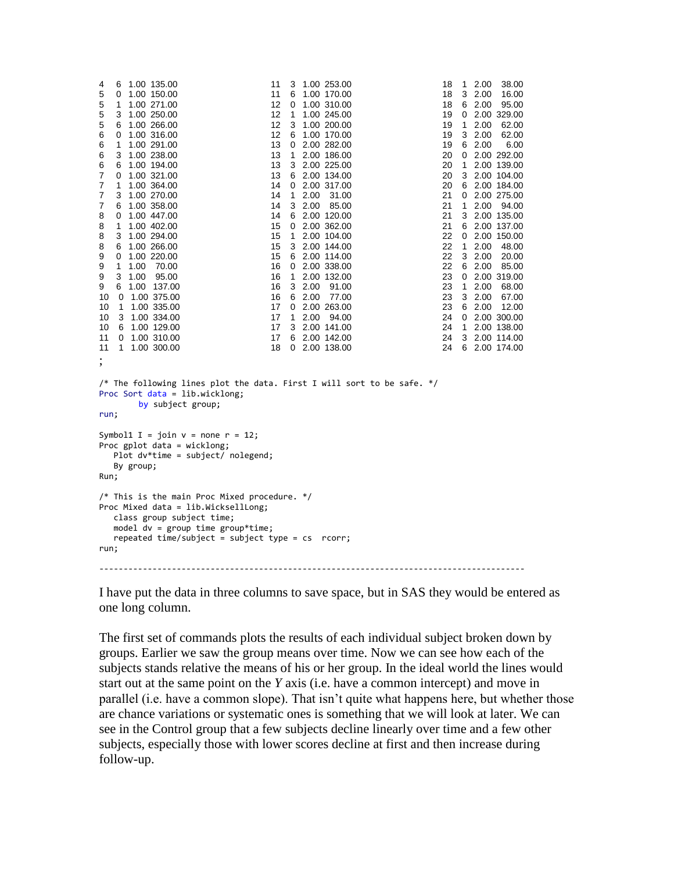```
4 6 1.00 135.00
5 0 1.00 150.00
5 1 1.00 271.00
5 3 1.00 250.00
5 6 1.00 266.00
6 0 1.00 316.00
6 1 1.00 291.00
6 3 1.00 238.00
6 6 1.00 194.00
7 0 1.00 321.00
7 1 1.00 364.00
   7 3 1.00 270.00
7 6 1.00 358.00
8 0 1.00 447.00
8 1 1.00 402.00
8 3 1.00 294.00
8 6 1.00 266.00
9 0 1.00 220.00
9 1 1.00 70.00
9 3 1.00 95.00
9 6 1.00 137.00
10 0 1.00 375.00
10 1 1.00 335.00
10 3 1.00 334.00
10 6 1.00 129.00
11 0 1.00 310.00
11 1 1.00 300.00
                               11 3 1.00 253.00
                                11 6 1.00 170.00
                                 12 0 1.00 310.00
                                 12 1 1.00 245.00
                                12 3 1.00 200.00
                                 12 6 1.00 170.00
                                 13 0 2.00 282.00
                                13 1 2.00 186.00
                                13 3 2.00 225.00
                                13 6 2.00 134.00
                                 14 0 2.00 317.00
                                14 1 2.00 31.00
                                14 3 2.00 85.00
                                 14 6 2.00 120.00
                                 15 0 2.00 362.00
                                15 1 2.00 104.00
                                15 3 2.00 144.00
                                 15 6 2.00 114.00
                                 16 0 2.00 338.00
                                16 1 2.00 132.00
                                16 3 2.00 91.00
                                 16 6 2.00 77.00
                                 17 0 2.00 263.00
                                17 1 2.00 94.00
                                17 3 2.00 141.00
                                 17 6 2.00 142.00
                                 18 0 2.00 138.00
                                                                 18 1 2.00 38.00
                                                                   18 3 2.00 16.00
                                                                   18 6 2.00 95.00
                                                                  19 0 2.00 329.00
                                                                  19 1 2.00 62.00
                                                                   19 3 2.00 62.00
                                                                   19 6 2.00 6.00
                                                                 20 0 2.00 292.00
                                                                  20 1 2.00 139.00
                                                                  20 3 2.00 104.00
                                                                   20 6 2.00 184.00
                                                                   21 0 2.00 275.00
                                                                  21 1 2.00 94.00
                                                                   21 3 2.00 135.00
                                                                   21 6 2.00 137.00
                                                                  22 0 2.00 150.00
                                                                   22 1 2.00 48.00
                                                                   22 3 2.00 20.00
                                                                   22 6 2.00 85.00
                                                                  23 0 2.00 319.00
                                                                  23 1 2.00 68.00
                                                                   23 3 2.00 67.00
                                                                   23 6 2.00 12.00
                                                                 24 0 2.00 300.00
                                                                 24 1 2.00 138.00
                                                                   24 3 2.00 114.00
                                                                   24 6 2.00 174.00
;
/* The following lines plot the data. First I will sort to be safe. */
Proc Sort data = lib.wicklong;
       by subject group;
run;
Symbol1 I = join v = none r = 12;
Proc gplot data = wicklong;
   Plot dv*time = subject/ nolegend;
   By group;
Run;
/* This is the main Proc Mixed procedure. */
Proc Mixed data = lib.WicksellLong; 
    class group subject time; 
    model dv = group time group*time; 
   repeated time/subject = subject type = cs rcorr;
run; 
----------------------------------------------------------------------------------------
```
I have put the data in three columns to save space, but in SAS they would be entered as one long column.

The first set of commands plots the results of each individual subject broken down by groups. Earlier we saw the group means over time. Now we can see how each of the subjects stands relative the means of his or her group. In the ideal world the lines would start out at the same point on the *Y* axis (i.e. have a common intercept) and move in parallel (i.e. have a common slope). That isn't quite what happens here, but whether those are chance variations or systematic ones is something that we will look at later. We can see in the Control group that a few subjects decline linearly over time and a few other subjects, especially those with lower scores decline at first and then increase during follow-up.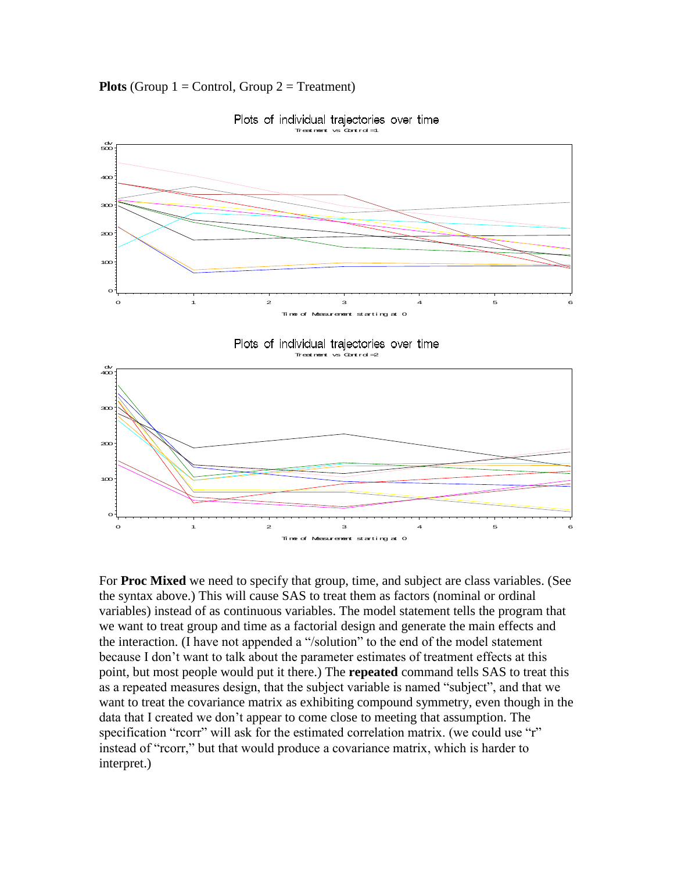**Plots** (Group  $1 =$  Control, Group  $2 =$  Treatment)



Plots of individual trajectories over time

For **Proc Mixed** we need to specify that group, time, and subject are class variables. (See the syntax above.) This will cause SAS to treat them as factors (nominal or ordinal variables) instead of as continuous variables. The model statement tells the program that we want to treat group and time as a factorial design and generate the main effects and the interaction. (I have not appended a "/solution" to the end of the model statement because I don't want to talk about the parameter estimates of treatment effects at this point, but most people would put it there.) The **repeated** command tells SAS to treat this as a repeated measures design, that the subject variable is named "subject", and that we want to treat the covariance matrix as exhibiting compound symmetry, even though in the data that I created we don't appear to come close to meeting that assumption. The specification "rcorr" will ask for the estimated correlation matrix. (we could use "r" instead of "rcorr," but that would produce a covariance matrix, which is harder to interpret.)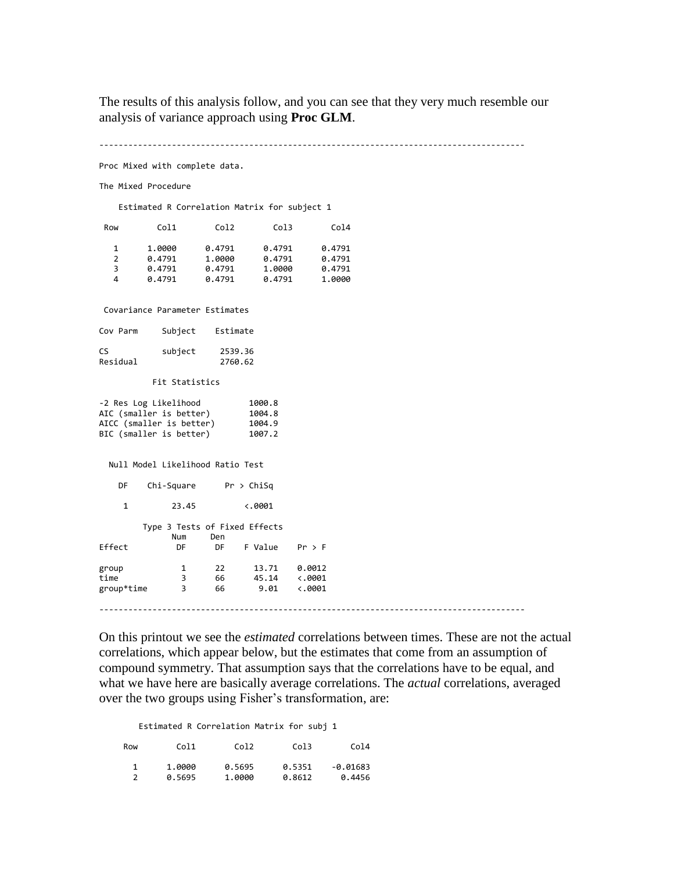The results of this analysis follow, and you can see that they very much resemble our analysis of variance approach using **Proc GLM**.

 $-$ 

Proc Mixed with complete data.

The Mixed Procedure

Estimated R Correlation Matrix for subject 1

| Row | Co11   | Co12   | Co13   | Co14   |
|-----|--------|--------|--------|--------|
| 1   | 1.0000 | 0.4791 | 0.4791 | 0.4791 |
| 2   | 0.4791 | 1.0000 | 0.4791 | 0.4791 |
| 3   | 0.4791 | 0.4791 | 1.0000 | 0.4791 |
| 4   | 0.4791 | 0.4791 | 0.4791 | 1.0000 |
|     |        |        |        |        |

Covariance Parameter Estimates

| Cov Parm       | Subject | Estimate           |
|----------------|---------|--------------------|
| CS<br>Residual | subject | 2539.36<br>2760.62 |

Fit Statistics

| -2 Res Log Likelihood    | 1000.8 |
|--------------------------|--------|
| AIC (smaller is better)  | 1004.8 |
| AICC (smaller is better) | 1004.9 |
| BIC (smaller is better)  | 1007.2 |

Null Model Likelihood Ratio Test

 DF Chi-Square Pr > ChiSq 1 23.45 <.0001 Type 3 Tests of Fixed Effects Num Den Effect DF DF F Value Pr > F group 1 22 13.71 0.0012 time 3 66 45.14 <.0001 group\*time 3 66 9.01 <.0001 ----------------------------------------------------------------------------------------

On this printout we see the *estimated* correlations between times. These are not the actual correlations, which appear below, but the estimates that come from an assumption of compound symmetry. That assumption says that the correlations have to be equal, and what we have here are basically average correlations. The *actual* correlations, averaged over the two groups using Fisher's transformation, are:

Estimated R Correlation Matrix for subj 1

| Row | Col1   | Col2   | Col3   | Co14       |
|-----|--------|--------|--------|------------|
|     | 1.0000 | 0.5695 | 0.5351 | $-0.01683$ |
|     | 0.5695 | 1.0000 | 0.8612 | 0.4456     |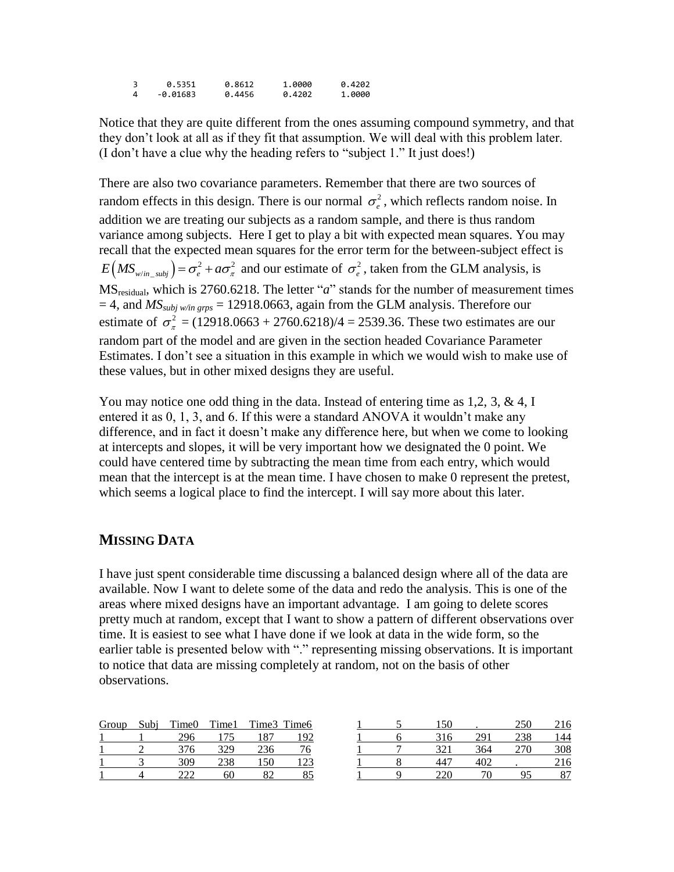3 0.5351 0.8612 1.0000 0.4202  $-0.01683$ 

Notice that they are quite different from the ones assuming compound symmetry, and that they don't look at all as if they fit that assumption. We will deal with this problem later. (I don't have a clue why the heading refers to "subject 1." It just does!)

There are also two covariance parameters. Remember that there are two sources of random effects in this design. There is our normal  $\sigma_e^2$ , which reflects random noise. In addition we are treating our subjects as a random sample, and there is thus random variance among subjects. Here I get to play a bit with expected mean squares. You may recall that the expected mean squares for the error term for the between-subject effect is  $E(MS_{w/in\_subj}) = \sigma_e^2 + a\sigma_{\pi}^2$  and our estimate of  $\sigma_e^2$ , taken from the GLM analysis, is MSresidual, which is 2760.6218. The letter "*a*" stands for the number of measurement times  $= 4$ , and  $MS_{subj~w/in~g rps} = 12918.0663$ , again from the GLM analysis. Therefore our estimate of  $\sigma_{\pi}^2$  = (12918.0663 + 2760.6218)/4 = 2539.36. These two estimates are our random part of the model and are given in the section headed Covariance Parameter Estimates. I don't see a situation in this example in which we would wish to make use of these values, but in other mixed designs they are useful.

You may notice one odd thing in the data. Instead of entering time as  $1,2, 3, \& 4, I$ entered it as 0, 1, 3, and 6. If this were a standard ANOVA it wouldn't make any difference, and in fact it doesn't make any difference here, but when we come to looking at intercepts and slopes, it will be very important how we designated the 0 point. We could have centered time by subtracting the mean time from each entry, which would mean that the intercept is at the mean time. I have chosen to make 0 represent the pretest, which seems a logical place to find the intercept. I will say more about this later.

# **MISSING DATA**

I have just spent considerable time discussing a balanced design where all of the data are available. Now I want to delete some of the data and redo the analysis. This is one of the areas where mixed designs have an important advantage. I am going to delete scores pretty much at random, except that I want to show a pattern of different observations over time. It is easiest to see what I have done if we look at data in the wide form, so the earlier table is presented below with "." representing missing observations. It is important to notice that data are missing completely at random, not on the basis of other observations.

| Group | Subi | Time0 | Time1 |     | Time3 Time6    |  |     |     |     | 216 |
|-------|------|-------|-------|-----|----------------|--|-----|-----|-----|-----|
|       |      | 296   |       |     | Q <sub>0</sub> |  | 316 | 29. |     | 144 |
|       |      | 376   | 329   |     |                |  |     | 364 | 270 | 308 |
|       |      | 309   | 238   | 150 |                |  | 447 |     |     | 216 |
|       |      | າາາ   | 60    |     |                |  |     | 70  |     | O7  |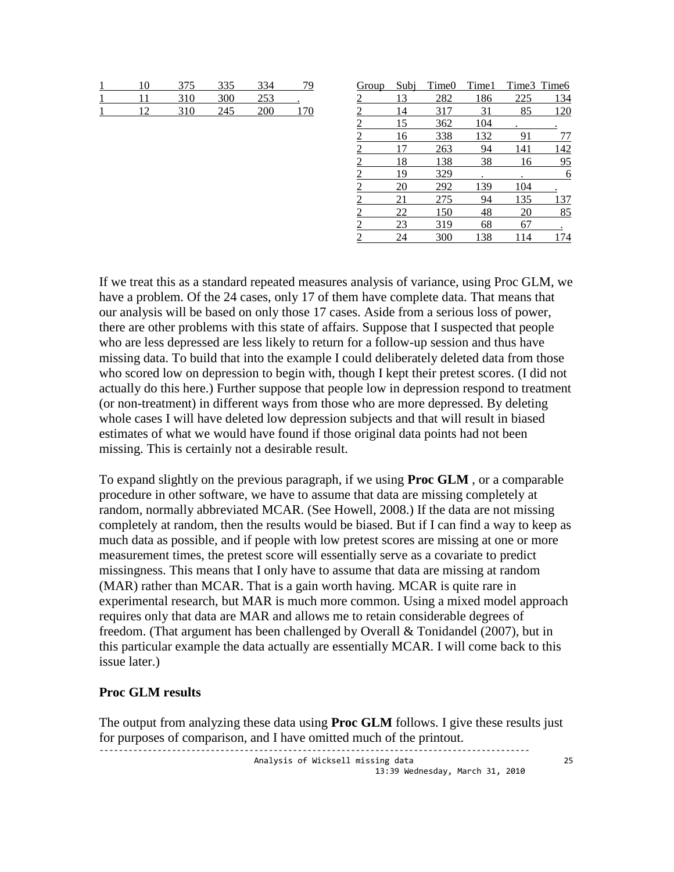| ' በ | 375 | 335 | 334 | C. |
|-----|-----|-----|-----|----|
|     | 310 | 300 | 253 |    |
|     | 310 | 245 | ንበበ |    |

| Group          | Subj | Time0 | Time1 |     | Time3 Time6 |
|----------------|------|-------|-------|-----|-------------|
|                | 13   | 282   | 186   | 225 | 134         |
| $\overline{2}$ | 14   | 317   | 31    | 85  | 120         |
| 2              | 15   | 362   | 104   |     |             |
| $\overline{2}$ | 16   | 338   | 132   | 91  | 77          |
| $\overline{2}$ |      | 263   | 94    | 141 | 142         |
| $\overline{2}$ | 18   | 138   | 38    | 16  | 95          |
| $\overline{2}$ | 19   | 329   |       |     | 6           |
| $\overline{2}$ | 20   | 292   | 139   | 104 |             |
| $\overline{2}$ | 21   | 275   | 94    | 135 | 137         |
|                | 22   | 150   | 48    | 20  | 85          |
| $\overline{2}$ | 23   | 319   | 68    | 67  |             |
| $\overline{2}$ | 24   | 300   | 138   | 114 | 174         |

If we treat this as a standard repeated measures analysis of variance, using Proc GLM, we have a problem. Of the 24 cases, only 17 of them have complete data. That means that our analysis will be based on only those 17 cases. Aside from a serious loss of power, there are other problems with this state of affairs. Suppose that I suspected that people who are less depressed are less likely to return for a follow-up session and thus have missing data. To build that into the example I could deliberately deleted data from those who scored low on depression to begin with, though I kept their pretest scores. (I did not actually do this here.) Further suppose that people low in depression respond to treatment (or non-treatment) in different ways from those who are more depressed. By deleting whole cases I will have deleted low depression subjects and that will result in biased estimates of what we would have found if those original data points had not been missing. This is certainly not a desirable result.

To expand slightly on the previous paragraph, if we using **Proc GLM** , or a comparable procedure in other software, we have to assume that data are missing completely at random, normally abbreviated MCAR. (See Howell, 2008.) If the data are not missing completely at random, then the results would be biased. But if I can find a way to keep as much data as possible, and if people with low pretest scores are missing at one or more measurement times, the pretest score will essentially serve as a covariate to predict missingness. This means that I only have to assume that data are missing at random (MAR) rather than MCAR. That is a gain worth having. MCAR is quite rare in experimental research, but MAR is much more common. Using a mixed model approach requires only that data are MAR and allows me to retain considerable degrees of freedom. (That argument has been challenged by Overall & Tonidandel (2007), but in this particular example the data actually are essentially MCAR. I will come back to this issue later.)

### **Proc GLM results**

The output from analyzing these data using **Proc GLM** follows. I give these results just for purposes of comparison, and I have omitted much of the printout.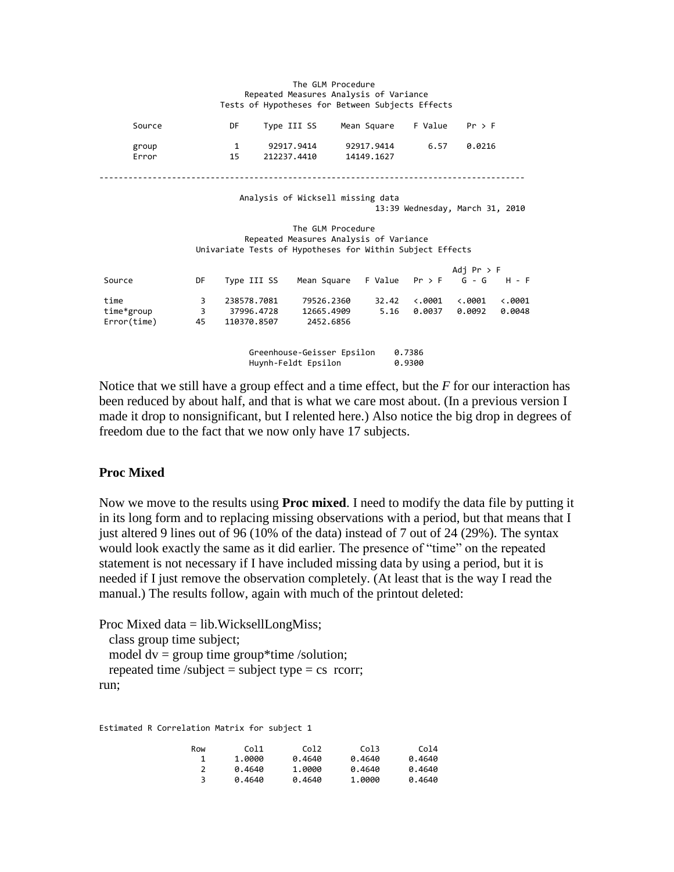#### The GLM Procedure Repeated Measures Analysis of Variance Tests of Hypotheses for Between Subjects Effects

| Source         | DF  | Type III SS               | Mean Square              | F Value Pr > F |        |
|----------------|-----|---------------------------|--------------------------|----------------|--------|
| group<br>Error | 15. | 92917.9414<br>212237.4410 | 92917.9414<br>14149.1627 | 6.57           | 0.0216 |

----------------------------------------------------------------------------------------

#### Analysis of Wicksell missing data 13:39 Wednesday, March 31, 2010

#### The GLM Procedure Repeated Measures Analysis of Variance Univariate Tests of Hypotheses for Within Subject Effects

|             |    |             |                                          |       |                 | Adj Pr > F      |                 |
|-------------|----|-------------|------------------------------------------|-------|-----------------|-----------------|-----------------|
| Source      | DF | Type III SS | Mean Square F Value $Pr > F$ G - G H - F |       |                 |                 |                 |
| time        | 3. | 238578.7081 | 79526.2360                               | 32.42 | $\langle .0001$ | $\langle .0001$ | $\ddotsc$ .0001 |
| time*group  | 3. | 37996.4728  | 12665.4909                               | 5.16  | 0.0037          | 0.0092          | 0.0048          |
| Error(time) | 45 | 110370.8507 | 2452.6856                                |       |                 |                 |                 |
|             |    |             |                                          |       |                 |                 |                 |
|             |    |             |                                          |       |                 |                 |                 |

Greenhouse-Geisser Epsilon 0.7386<br>Huynh-Feldt Ensilon 0.9300 Huynh-Feldt Epsilon

Notice that we still have a group effect and a time effect, but the *F* for our interaction has been reduced by about half, and that is what we care most about. (In a previous version I made it drop to nonsignificant, but I relented here.) Also notice the big drop in degrees of freedom due to the fact that we now only have 17 subjects.

### **Proc Mixed**

Now we move to the results using **Proc mixed**. I need to modify the data file by putting it in its long form and to replacing missing observations with a period, but that means that I just altered 9 lines out of 96 (10% of the data) instead of 7 out of 24 (29%). The syntax would look exactly the same as it did earlier. The presence of "time" on the repeated statement is not necessary if I have included missing data by using a period, but it is needed if I just remove the observation completely. (At least that is the way I read the manual.) The results follow, again with much of the printout deleted:

Proc Mixed data = lib.WicksellLongMiss; class group time subject; model  $dv =$  group time group\*time /solution; repeated time /subject = subject type =  $cs$  rcorr; run;

Estimated R Correlation Matrix for subject 1

| Row | Col1   | Col <sub>2</sub> | Col3   | Col4   |
|-----|--------|------------------|--------|--------|
|     | 1.0000 | 0.4640           | 0.4640 | 0.4640 |
| 2   | 0.4640 | 1,0000           | 0.4640 | 0.4640 |
|     | 0.4640 | 0.4640           | 1,0000 | 0.4640 |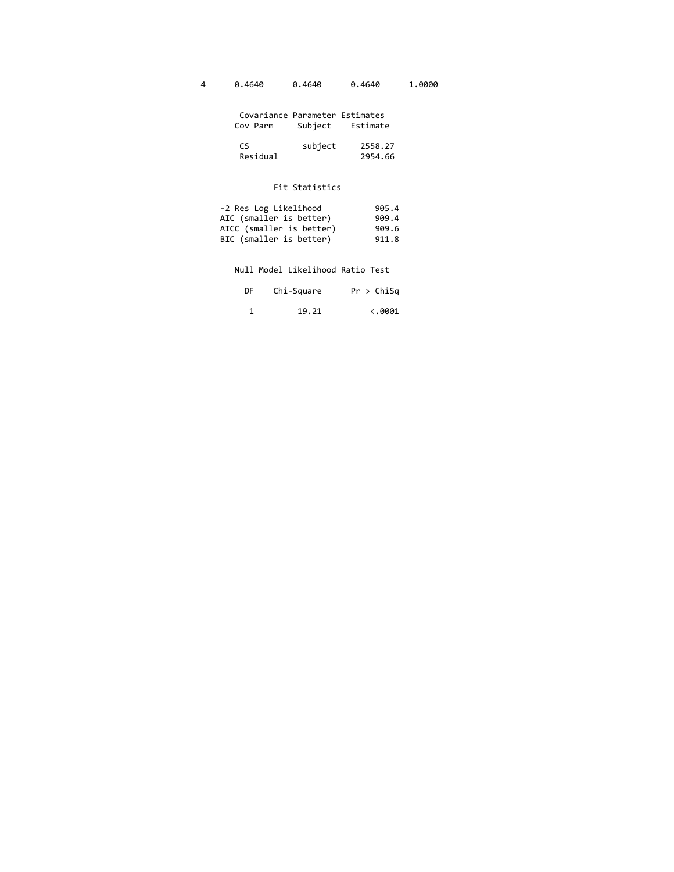|  | 0.4640 | 0.4640 | 0.4640 | 1.0000 |
|--|--------|--------|--------|--------|
|--|--------|--------|--------|--------|

| Covariance Parameter Estimates<br>Cov Parm | Subiect Estimate |
|--------------------------------------------|------------------|
| rς                                         | subiect 2558.27  |

Residual 2954.66

#### Fit Statistics

| -2 Res Log Likelihood    | 905.4 |
|--------------------------|-------|
| AIC (smaller is better)  | 909.4 |
| AICC (smaller is better) | 909.6 |
| BIC (smaller is better)  | 911.8 |

Null Model Likelihood Ratio Test

| DF 1 | Chi-Square | Pr > ChiSq              |
|------|------------|-------------------------|
|      | 19.21      | $\langle .0001 \rangle$ |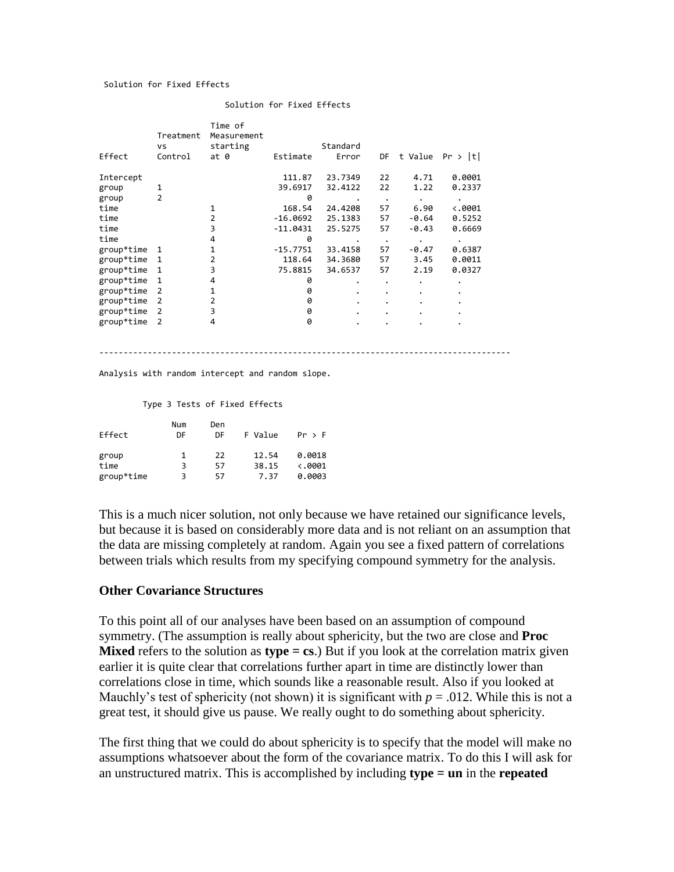#### Solution for Fixed Effects

| Effect     | Treatment<br>٧S<br>Control | Time of<br>Measurement<br>starting<br>at <sub>0</sub> | Estimate   | Standard<br>Error | DF        | t Value   | Pr >  t         |
|------------|----------------------------|-------------------------------------------------------|------------|-------------------|-----------|-----------|-----------------|
| Intercept  |                            |                                                       | 111.87     | 23.7349           | 22        | 4.71      | 0.0001          |
| group      | 1                          |                                                       | 39.6917    | 32.4122           | 22        | 1.22      | 0.2337          |
| group      | 2                          |                                                       | 0          | ٠                 | $\bullet$ | $\bullet$ | ٠               |
| time       |                            | 1                                                     | 168.54     | 24.4208           | 57        | 6.90      | $\langle .0001$ |
| time       |                            | $\overline{2}$                                        | $-16.0692$ | 25.1383           | 57        | $-0.64$   | 0.5252          |
| time       |                            | 3                                                     | $-11.0431$ | 25.5275           | 57        | $-0.43$   | 0.6669          |
| time       |                            | 4                                                     | 0          | ٠                 | $\bullet$ | $\bullet$ | ٠               |
| group*time | 1                          | 1                                                     | $-15.7751$ | 33.4158           | 57        | $-0.47$   | 0.6387          |
| group*time | 1                          | 2                                                     | 118.64     | 34.3680           | 57        | 3.45      | 0.0011          |
| group*time | 1                          | 3                                                     | 75.8815    | 34.6537           | 57        | 2.19      | 0.0327          |
| group*time | 1                          | 4                                                     | 0          | ٠                 | ٠         | ٠         | ٠               |
| group*time | 2                          | 1                                                     | 0          | ٠                 |           |           |                 |
| group*time | 2                          | 2                                                     | 0          | ٠                 |           |           |                 |
| group*time | $\overline{2}$             | 3                                                     | 0          | ٠                 |           |           |                 |
| group*time | 2                          | 4                                                     | 0          | ٠                 |           | ٠         |                 |

Solution for Fixed Effects

Analysis with random intercept and random slope.

#### Type 3 Tests of Fixed Effects

| Effect     | Num<br>DF | Den<br>DF | F Value | Pr > F          |
|------------|-----------|-----------|---------|-----------------|
| group      | 1         | 22        | 12.54   | 0.0018          |
| time       | 3         | 57        | 38.15   | $\langle .0001$ |
| group*time | 3         | 57        | 7.37    | 0.0003          |

This is a much nicer solution, not only because we have retained our significance levels, but because it is based on considerably more data and is not reliant on an assumption that the data are missing completely at random. Again you see a fixed pattern of correlations between trials which results from my specifying compound symmetry for the analysis.

-------------------------------------------------------------------------------------

### **Other Covariance Structures**

To this point all of our analyses have been based on an assumption of compound symmetry. (The assumption is really about sphericity, but the two are close and **Proc Mixed** refers to the solution as **type = cs**.) But if you look at the correlation matrix given earlier it is quite clear that correlations further apart in time are distinctly lower than correlations close in time, which sounds like a reasonable result. Also if you looked at Mauchly's test of sphericity (not shown) it is significant with  $p = .012$ . While this is not a great test, it should give us pause. We really ought to do something about sphericity.

The first thing that we could do about sphericity is to specify that the model will make no assumptions whatsoever about the form of the covariance matrix. To do this I will ask for an unstructured matrix. This is accomplished by including **type = un** in the **repeated**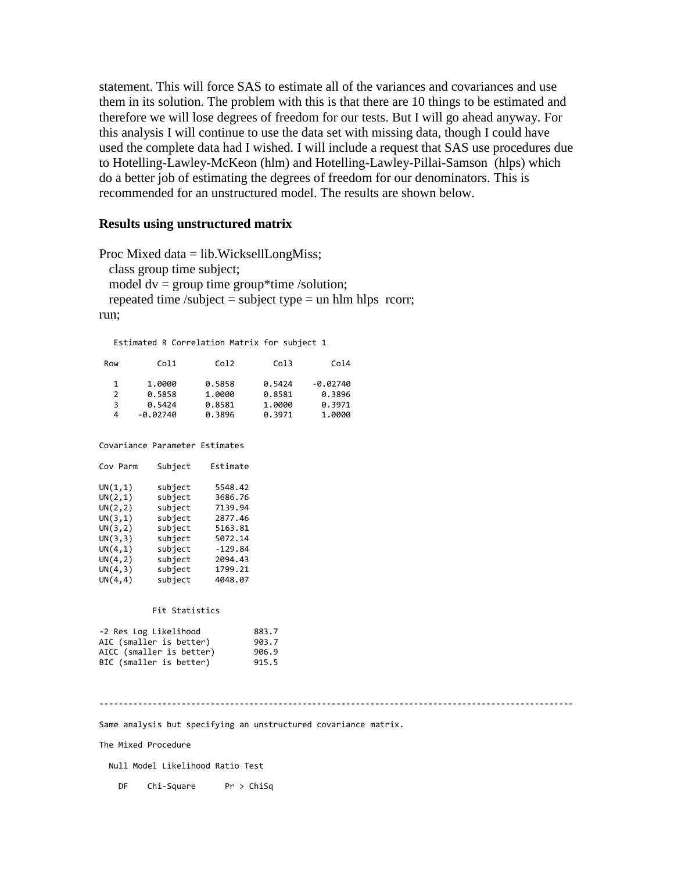statement. This will force SAS to estimate all of the variances and covariances and use them in its solution. The problem with this is that there are 10 things to be estimated and therefore we will lose degrees of freedom for our tests. But I will go ahead anyway. For this analysis I will continue to use the data set with missing data, though I could have used the complete data had I wished. I will include a request that SAS use procedures due to Hotelling-Lawley-McKeon (hlm) and Hotelling-Lawley-Pillai-Samson (hlps) which do a better job of estimating the degrees of freedom for our denominators. This is recommended for an unstructured model. The results are shown below.

### **Results using unstructured matrix**

```
Proc Mixed data = lib.WicksellLongMiss;
  class group time subject;
 model dv = group time group*time /solution;
 repeated time /subject = subject type = un hlm hlps rcorr;
run;
```
Estimated R Correlation Matrix for subject 1

| Row | Col1       | Col <sub>2</sub> | Co13   | Co14       |
|-----|------------|------------------|--------|------------|
| 1   | 1.0000     | 0.5858           | 0.5424 | $-0.02740$ |
| 2   | 0.5858     | 1.0000           | 0.8581 | 0.3896     |
| 3   | 0.5424     | 0.8581           | 1,0000 | 0.3971     |
| 4   | $-0.02740$ | 0.3896           | 0.3971 | 1.0000     |

Covariance Parameter Estimates

| Cov Parm | Subject | Estimate  |
|----------|---------|-----------|
| UN(1,1)  | subject | 5548.42   |
| UN(2,1)  | subject | 3686.76   |
| UN(2,2)  | subject | 7139.94   |
| UN(3,1)  | subject | 2877.46   |
| UN(3,2)  | subiect | 5163.81   |
| UN(3,3)  | subject | 5072.14   |
| UN(4,1)  | subject | $-129.84$ |
| UN(4,2)  | subject | 2094.43   |
| UN(4,3)  | subiect | 1799.21   |
| UN(4,4)  | subiect | 4048.07   |
|          |         |           |

#### Fit Statistics

| -2 Res Log Likelihood    | 883.7 |
|--------------------------|-------|
| AIC (smaller is better)  | 903.7 |
| AICC (smaller is better) | 906.9 |
| BIC (smaller is better)  | 915.5 |

--------------------------------------------------------------------------------------------------

Same analysis but specifying an unstructured covariance matrix.

The Mixed Procedure

Null Model Likelihood Ratio Test

DF Chi-Square Pr > ChiSq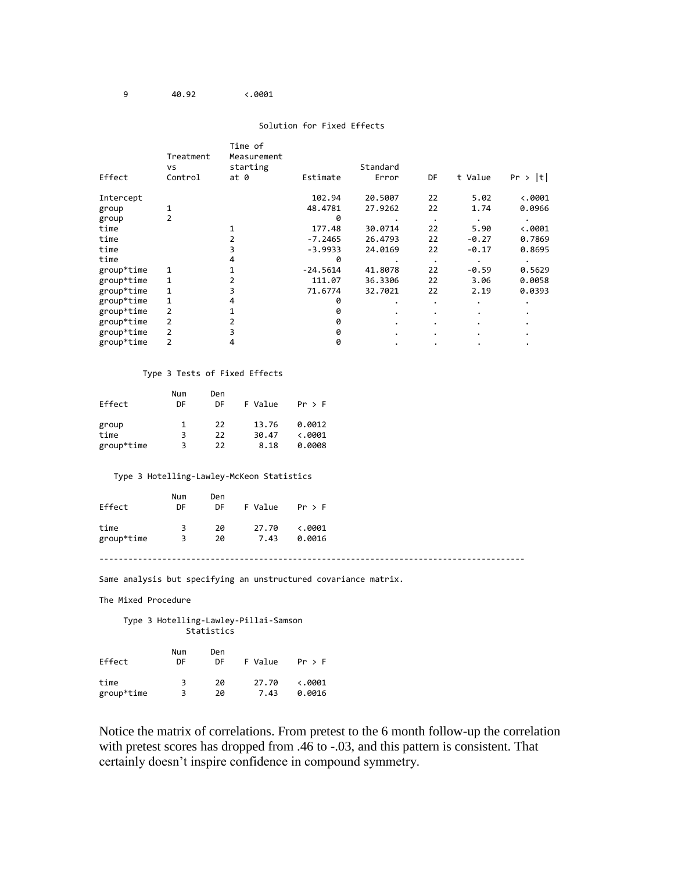9 40.92 <.0001

#### Solution for Fixed Effects

|            | Treatment<br>vs | Time of<br>Measurement<br>starting |            | Standard  |           |         |                 |
|------------|-----------------|------------------------------------|------------|-----------|-----------|---------|-----------------|
| Effect     | Control         | at 0                               | Estimate   | Error     | DF        | t Value | Pr ><br> t      |
| Intercept  |                 |                                    | 102.94     | 20.5007   | 22        | 5.02    | $\langle .0001$ |
| group      |                 |                                    | 48.4781    | 27.9262   | 22        | 1.74    | 0.0966          |
| group      | 2               |                                    | 0          |           | $\bullet$ |         |                 |
| time       |                 |                                    | 177.48     | 30.0714   | 22        | 5.90    | $\ddotsc 0001$  |
| time       |                 | 2                                  | $-7.2465$  | 26.4793   | 22        | $-0.27$ | 0.7869          |
| time       |                 | 3                                  | $-3.9933$  | 24.0169   | 22        | $-0.17$ | 0.8695          |
| time       |                 | 4                                  | 0          |           |           |         |                 |
| group*time |                 |                                    | $-24.5614$ | 41.8078   | 22        | $-0.59$ | 0.5629          |
| group*time |                 | 2                                  | 111.07     | 36.3306   | 22        | 3.06    | 0.0058          |
| group*time |                 | 3                                  | 71.6774    | 32.7021   | 22        | 2.19    | 0.0393          |
| group*time |                 | 4                                  | 0          | $\bullet$ | $\bullet$ |         |                 |
| group*time |                 |                                    | 0          |           | $\bullet$ |         |                 |
| group*time |                 |                                    | 0          |           | $\bullet$ |         |                 |
| group*time |                 | 3                                  | 0          |           | ٠         |         |                 |
| group*time |                 | 4                                  | 0          |           |           |         |                 |

#### Type 3 Tests of Fixed Effects

|            | Num | Den |         |                 |
|------------|-----|-----|---------|-----------------|
| Effect     | DF  | DF  | F Value | Pr > F          |
| group      | 1   | 22  | 13.76   | 0.0012          |
| time       | 3   | 22  | 30.47   | $\langle .0001$ |
| group*time | 3   | 22  | 8.18    | 0.0008          |

#### Type 3 Hotelling-Lawley-McKeon Statistics

| Effect     | Num<br>DF | Den<br>DF. | F Value | Pr > F          |
|------------|-----------|------------|---------|-----------------|
| time       | 3         | 20         | 27.70   | $\ddotsc$ .0001 |
| group*time | 3         | 20         | 7.43    | 0.0016          |

### ----------------------------------------------------------------------------------------

Same analysis but specifying an unstructured covariance matrix.

The Mixed Procedure

 Type 3 Hotelling-Lawley-Pillai-Samson **Statistics** 

| Effect     | Num<br>DF | Den<br>DF | F Value | Pr > F          |
|------------|-----------|-----------|---------|-----------------|
| time       | 3         | 2Q        | 27.70   | $\langle .0001$ |
| group*time | 3         | 2Q        | 7.43    | 0.0016          |

Notice the matrix of correlations. From pretest to the 6 month follow-up the correlation with pretest scores has dropped from .46 to -.03, and this pattern is consistent. That certainly doesn't inspire confidence in compound symmetry.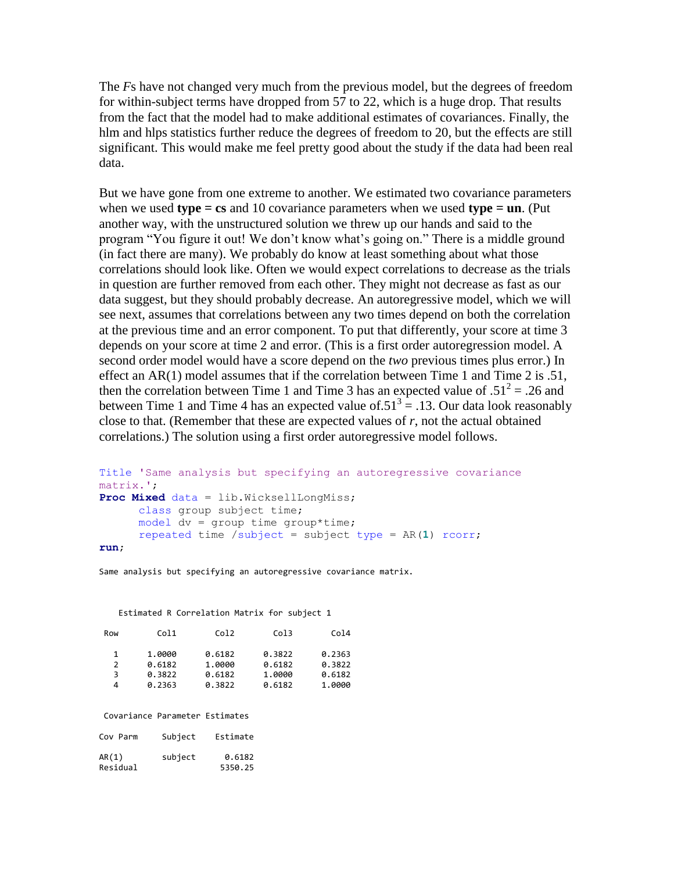The *F*s have not changed very much from the previous model, but the degrees of freedom for within-subject terms have dropped from 57 to 22, which is a huge drop. That results from the fact that the model had to make additional estimates of covariances. Finally, the hlm and hlps statistics further reduce the degrees of freedom to 20, but the effects are still significant. This would make me feel pretty good about the study if the data had been real data.

But we have gone from one extreme to another. We estimated two covariance parameters when we used **type = cs** and 10 covariance parameters when we used **type = un**. (Put another way, with the unstructured solution we threw up our hands and said to the program "You figure it out! We don't know what's going on." There is a middle ground (in fact there are many). We probably do know at least something about what those correlations should look like. Often we would expect correlations to decrease as the trials in question are further removed from each other. They might not decrease as fast as our data suggest, but they should probably decrease. An autoregressive model, which we will see next, assumes that correlations between any two times depend on both the correlation at the previous time and an error component. To put that differently, your score at time 3 depends on your score at time 2 and error. (This is a first order autoregression model. A second order model would have a score depend on the *two* previous times plus error.) In effect an AR(1) model assumes that if the correlation between Time 1 and Time 2 is .51, then the correlation between Time 1 and Time 3 has an expected value of  $.51^2 = .26$  and between Time 1 and Time 4 has an expected value of  $.51<sup>3</sup> = .13$ . Our data look reasonably close to that. (Remember that these are expected values of *r*, not the actual obtained correlations.) The solution using a first order autoregressive model follows.

```
Title 'Same analysis but specifying an autoregressive covariance 
matrix.';
Proc Mixed data = lib.WicksellLongMiss;
      class group subject time;
      model dv = group time group*time;
      repeated time /subject = subject type = AR(1) rcorr;
run;
```
Same analysis but specifying an autoregressive covariance matrix.

#### Estimated R Correlation Matrix for subject 1

| Row | Col1   | Col <sub>2</sub> | Co13   | Co14   |
|-----|--------|------------------|--------|--------|
| 1   | 1.0000 | 0.6182           | 0.3822 | 0.2363 |
| 2   | 0.6182 | 1.0000           | 0.6182 | 0.3822 |
| 3   | 0.3822 | 0.6182           | 1.0000 | 0.6182 |
| 4   | 0.2363 | 0.3822           | 0.6182 | 1.0000 |

Covariance Parameter Estimates

| Cov Parm          | Subject | Estimate          |
|-------------------|---------|-------------------|
| AR(1)<br>Residual | subject | 0.6182<br>5350.25 |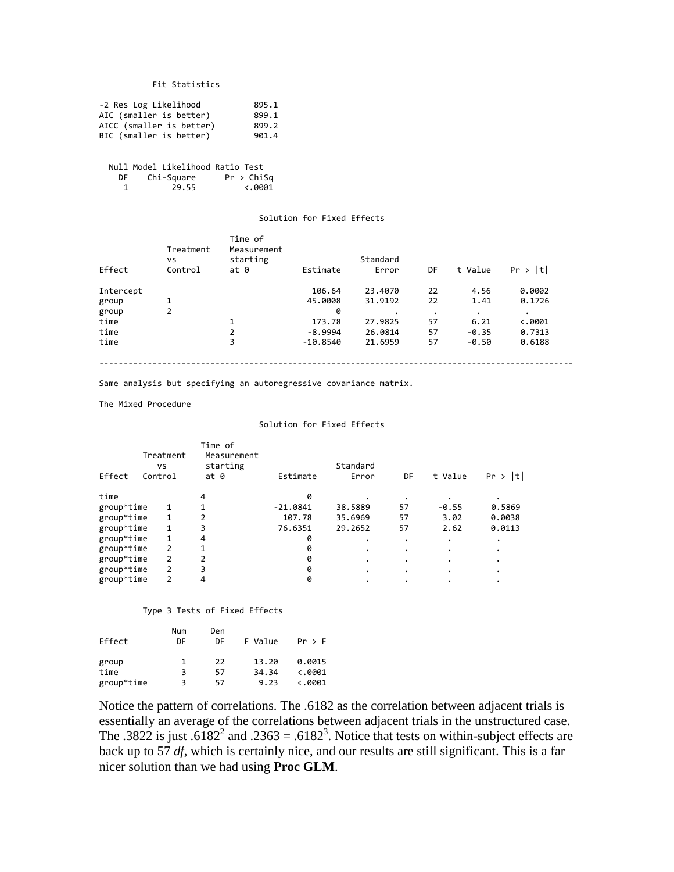#### Fit Statistics

| -2 Res Log Likelihood    | 895.1 |
|--------------------------|-------|
| AIC (smaller is better)  | 899.1 |
| AICC (smaller is better) | 899.2 |
| BIC (smaller is better)  | 901.4 |

 Null Model Likelihood Ratio Test DF Chi-Square Pr > ChiSq<br>1 29.55 <.0001  $29.55$ 

#### Solution for Fixed Effects

| Effect    | Treatment<br>vs<br>Control | Time of<br>Measurement<br>starting<br>at 0 | Estimate   | Standard<br>Error | DF        | t Value | Pr >  t         |
|-----------|----------------------------|--------------------------------------------|------------|-------------------|-----------|---------|-----------------|
|           |                            |                                            |            |                   |           |         |                 |
| Intercept |                            |                                            | 106.64     | 23,4070           | 22        | 4.56    | 0.0002          |
| group     | 1                          |                                            | 45.0008    | 31.9192           | 22        | 1.41    | 0.1726          |
| group     | 2                          |                                            | 0          | $\bullet$         | $\bullet$ | ٠       | $\bullet$       |
| time      |                            | 1                                          | 173.78     | 27.9825           | 57        | 6.21    | $\langle .0001$ |
| time      |                            | 2                                          | $-8.9994$  | 26.0814           | 57        | $-0.35$ | 0.7313          |
| time      |                            | 3                                          | $-10.8540$ | 21.6959           | 57        | $-0.50$ | 0.6188          |

Same analysis but specifying an autoregressive covariance matrix.

The Mixed Procedure

#### Solution for Fixed Effects

| Effect     | Treatment<br>vs<br>Control | Time of<br>Measurement<br>starting<br>at 0 | Estimate   | Standard<br>Error | DF | t Value | Pr >  t |
|------------|----------------------------|--------------------------------------------|------------|-------------------|----|---------|---------|
|            |                            |                                            |            |                   |    |         |         |
| time       |                            | 4                                          | 0          |                   |    |         |         |
| group*time | 1                          |                                            | $-21.0841$ | 38.5889           | 57 | $-0.55$ | 0.5869  |
| group*time | $\mathbf{1}$               | 2                                          | 107.78     | 35.6969           | 57 | 3.02    | 0.0038  |
| group*time | 1                          | 3                                          | 76.6351    | 29.2652           | 57 | 2.62    | 0.0113  |
| group*time | 1                          | 4                                          | 0          |                   |    | ٠       |         |
| group*time | 2                          |                                            | 0          |                   |    | ٠       |         |
| group*time | 2                          | $\overline{2}$                             | 0          | ٠                 |    | ٠       |         |
| group*time | 2                          | ξ                                          | 0          |                   |    | ٠       |         |
| group*time | 2                          | 4                                          | 0          |                   |    |         |         |

#### Type 3 Tests of Fixed Effects

|            | Num | Den |         |                 |
|------------|-----|-----|---------|-----------------|
| Effect     | DF  | DF  | F Value | Pr > F          |
| group      | 1   | 22  | 13.20   | 0.0015          |
| time       | З   | 57  | 34.34   | $\langle .0001$ |
| group*time | ٦   | 57  | 9.23    | $\ddotsc$ .0001 |

Notice the pattern of correlations. The .6182 as the correlation between adjacent trials is essentially an average of the correlations between adjacent trials in the unstructured case. The .3822 is just .6182<sup>2</sup> and .2363 = .6182<sup>3</sup>. Notice that tests on within-subject effects are back up to 57 *df*, which is certainly nice, and our results are still significant. This is a far nicer solution than we had using **Proc GLM**.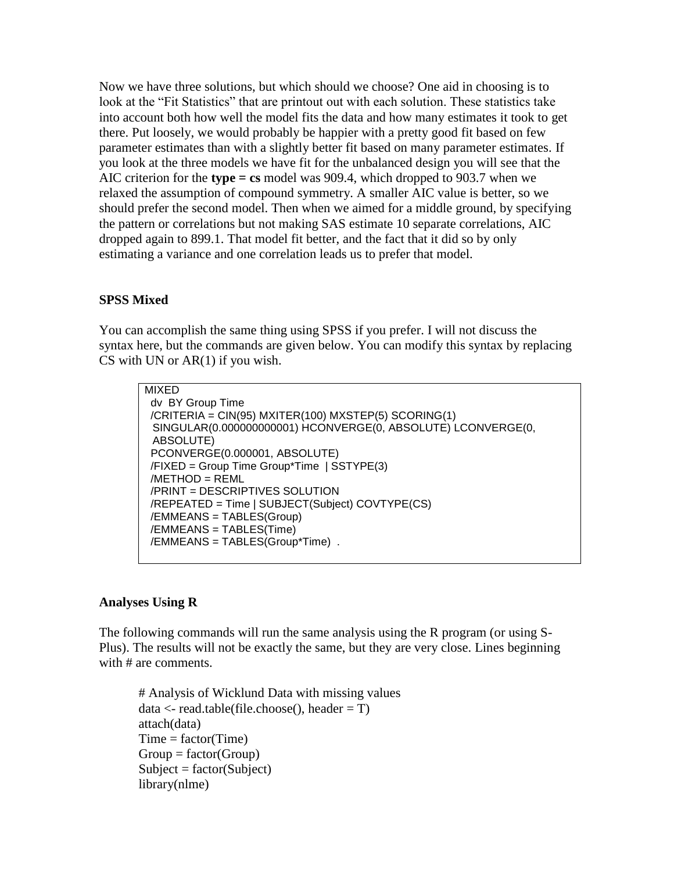Now we have three solutions, but which should we choose? One aid in choosing is to look at the "Fit Statistics" that are printout out with each solution. These statistics take into account both how well the model fits the data and how many estimates it took to get there. Put loosely, we would probably be happier with a pretty good fit based on few parameter estimates than with a slightly better fit based on many parameter estimates. If you look at the three models we have fit for the unbalanced design you will see that the AIC criterion for the **type = cs** model was 909.4, which dropped to 903.7 when we relaxed the assumption of compound symmetry. A smaller AIC value is better, so we should prefer the second model. Then when we aimed for a middle ground, by specifying the pattern or correlations but not making SAS estimate 10 separate correlations, AIC dropped again to 899.1. That model fit better, and the fact that it did so by only estimating a variance and one correlation leads us to prefer that model.

### **SPSS Mixed**

You can accomplish the same thing using SPSS if you prefer. I will not discuss the syntax here, but the commands are given below. You can modify this syntax by replacing CS with UN or  $AR(1)$  if you wish.

```
MIXED
 dv BY Group Time
/CRITERIA = CIN(95) MXITER(100) MXSTEP(5) SCORING(1)
 SINGULAR(0.000000000001) HCONVERGE(0, ABSOLUTE) LCONVERGE(0,
 ABSOLUTE)
 PCONVERGE(0.000001, ABSOLUTE)
 /FIXED = Group Time Group*Time | SSTYPE(3)
 /METHOD = REML
 /PRINT = DESCRIPTIVES SOLUTION
 /REPEATED = Time | SUBJECT(Subject) COVTYPE(CS)
 /EMMEANS = TABLES(Group)
 /EMMEANS = TABLES(Time)
 /EMMEANS = TABLES(Group*Time) .
```
### **Analyses Using R**

The following commands will run the same analysis using the R program (or using S-Plus). The results will not be exactly the same, but they are very close. Lines beginning with # are comments.

# Analysis of Wicklund Data with missing values  $data < -read_table(filechoose(), header = T)$ attach(data)  $Time = factor(Time)$  $Group = factor(Group)$  $Subject = factor(Subject)$ library(nlme)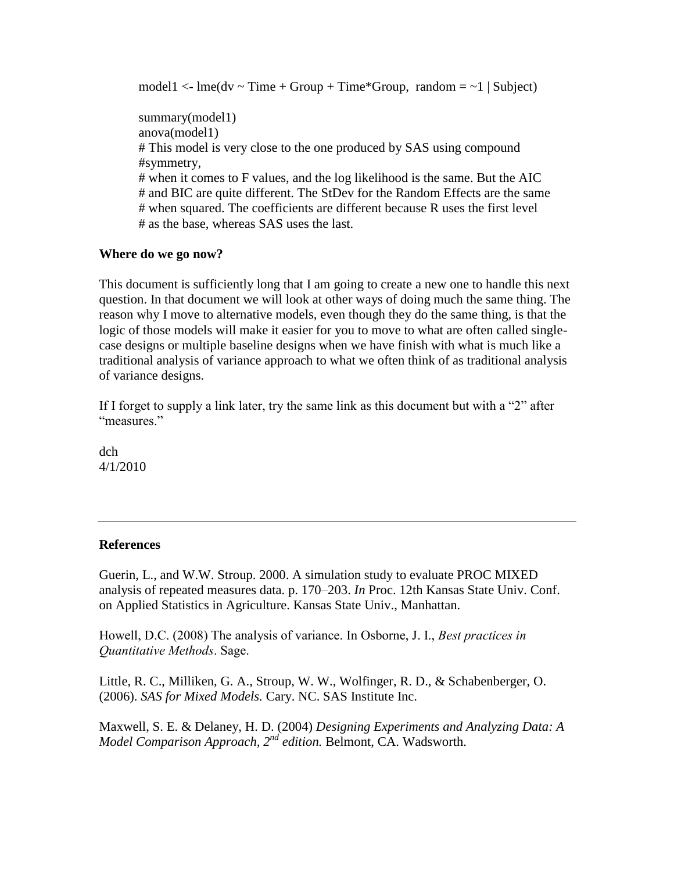model1  $\langle$ - lme(dv  $\sim$  Time + Group + Time\*Group, random =  $\sim$ 1 | Subject) summary(model1) anova(model1) # This model is very close to the one produced by SAS using compound #symmetry, # when it comes to F values, and the log likelihood is the same. But the AIC # and BIC are quite different. The StDev for the Random Effects are the same # when squared. The coefficients are different because R uses the first level # as the base, whereas SAS uses the last.

### **Where do we go now?**

This document is sufficiently long that I am going to create a new one to handle this next question. In that document we will look at other ways of doing much the same thing. The reason why I move to alternative models, even though they do the same thing, is that the logic of those models will make it easier for you to move to what are often called singlecase designs or multiple baseline designs when we have finish with what is much like a traditional analysis of variance approach to what we often think of as traditional analysis of variance designs.

If I forget to supply a link later, try the same link as this document but with a "2" after "measures"

dch 4/1/2010

### **References**

Guerin, L., and W.W. Stroup. 2000. A simulation study to evaluate PROC MIXED analysis of repeated measures data. p. 170–203. *In* Proc. 12th Kansas State Univ. Conf. on Applied Statistics in Agriculture. Kansas State Univ., Manhattan.

Howell, D.C. (2008) The analysis of variance. In Osborne, J. I., *Best practices in Quantitative Methods*. Sage.

Little, R. C., Milliken, G. A., Stroup, W. W., Wolfinger, R. D., & Schabenberger, O. (2006). *SAS for Mixed Models.* Cary. NC. SAS Institute Inc.

Maxwell, S. E. & Delaney, H. D. (2004) *Designing Experiments and Analyzing Data: A Model Comparison Approach, 2nd edition.* Belmont, CA. Wadsworth.